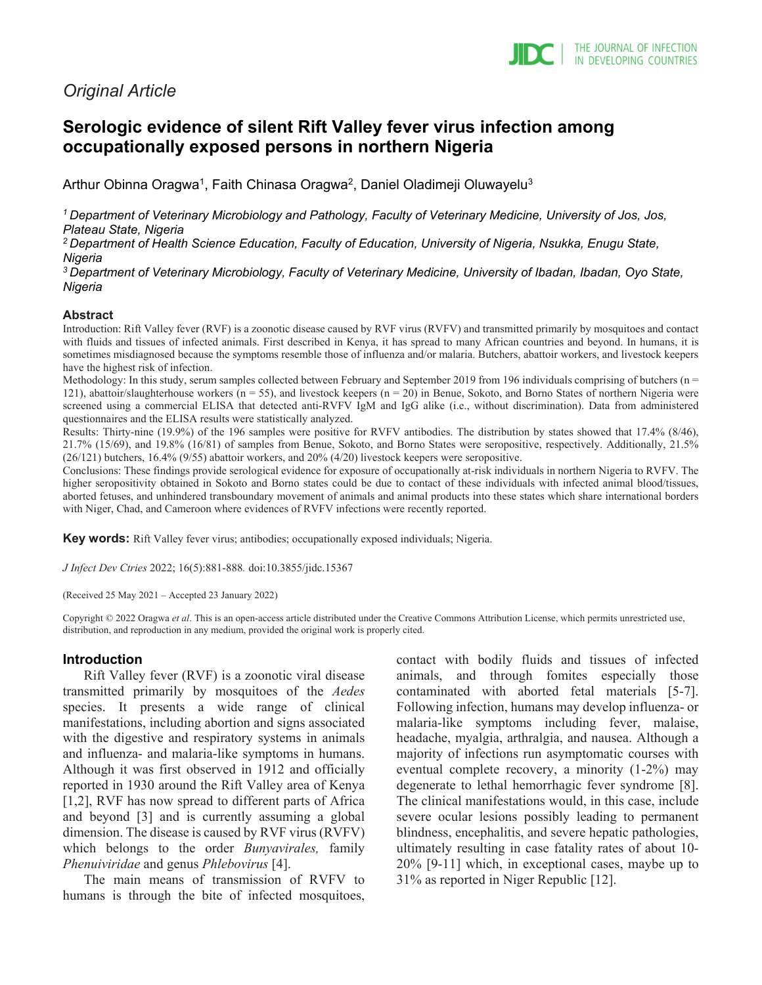# *Original Article*

# **Serologic evidence of silent Rift Valley fever virus infection among occupationally exposed persons in northern Nigeria**

Arthur Obinna Oragwa<sup>1</sup>, Faith Chinasa Oragwa<sup>2</sup>, Daniel Oladimeji Oluwayelu<sup>3</sup>

*1 Department of Veterinary Microbiology and Pathology, Faculty of Veterinary Medicine, University of Jos, Jos, Plateau State, Nigeria*

*2 Department of Health Science Education, Faculty of Education, University of Nigeria, Nsukka, Enugu State, Nigeria*

*3 Department of Veterinary Microbiology, Faculty of Veterinary Medicine, University of Ibadan, Ibadan, Oyo State, Nigeria*

#### **Abstract**

Introduction: Rift Valley fever (RVF) is a zoonotic disease caused by RVF virus (RVFV) and transmitted primarily by mosquitoes and contact with fluids and tissues of infected animals. First described in Kenya, it has spread to many African countries and beyond. In humans, it is sometimes misdiagnosed because the symptoms resemble those of influenza and/or malaria. Butchers, abattoir workers, and livestock keepers have the highest risk of infection.

Methodology: In this study, serum samples collected between February and September 2019 from 196 individuals comprising of butchers ( $n =$ 121), abattoir/slaughterhouse workers ( $n = 55$ ), and livestock keepers ( $n = 20$ ) in Benue, Sokoto, and Borno States of northern Nigeria were screened using a commercial ELISA that detected anti-RVFV IgM and IgG alike (i.e., without discrimination). Data from administered questionnaires and the ELISA results were statistically analyzed.

Results: Thirty-nine (19.9%) of the 196 samples were positive for RVFV antibodies. The distribution by states showed that 17.4% (8/46), 21.7% (15/69), and 19.8% (16/81) of samples from Benue, Sokoto, and Borno States were seropositive, respectively. Additionally, 21.5% (26/121) butchers, 16.4% (9/55) abattoir workers, and 20% (4/20) livestock keepers were seropositive.

Conclusions: These findings provide serological evidence for exposure of occupationally at-risk individuals in northern Nigeria to RVFV. The higher seropositivity obtained in Sokoto and Borno states could be due to contact of these individuals with infected animal blood/tissues, aborted fetuses, and unhindered transboundary movement of animals and animal products into these states which share international borders with Niger, Chad, and Cameroon where evidences of RVFV infections were recently reported.

**Key words:** Rift Valley fever virus; antibodies; occupationally exposed individuals; Nigeria.

*J Infect Dev Ctries* 2022; 16(5):881-888*.* doi:10.3855/jidc.15367

(Received 25 May 2021 – Accepted 23 January 2022)

Copyright © 2022 Oragwa *et al*. This is an open-access article distributed under the Creative Commons Attribution License, which permits unrestricted use, distribution, and reproduction in any medium, provided the original work is properly cited.

#### **Introduction**

Rift Valley fever (RVF) is a zoonotic viral disease transmitted primarily by mosquitoes of the *Aedes* species. It presents a wide range of clinical manifestations, including abortion and signs associated with the digestive and respiratory systems in animals and influenza- and malaria-like symptoms in humans. Although it was first observed in 1912 and officially reported in 1930 around the Rift Valley area of Kenya [1,2], RVF has now spread to different parts of Africa and beyond [3] and is currently assuming a global dimension. The disease is caused by RVF virus (RVFV) which belongs to the order *Bunyavirales,* family *Phenuiviridae* and genus *Phlebovirus* [4].

The main means of transmission of RVFV to humans is through the bite of infected mosquitoes, contact with bodily fluids and tissues of infected animals, and through fomites especially those contaminated with aborted fetal materials [5-7]. Following infection, humans may develop influenza- or malaria-like symptoms including fever, malaise, headache, myalgia, arthralgia, and nausea. Although a majority of infections run asymptomatic courses with eventual complete recovery, a minority (1-2%) may degenerate to lethal hemorrhagic fever syndrome [8]. The clinical manifestations would, in this case, include severe ocular lesions possibly leading to permanent blindness, encephalitis, and severe hepatic pathologies, ultimately resulting in case fatality rates of about 10- 20% [9-11] which, in exceptional cases, maybe up to 31% as reported in Niger Republic [12].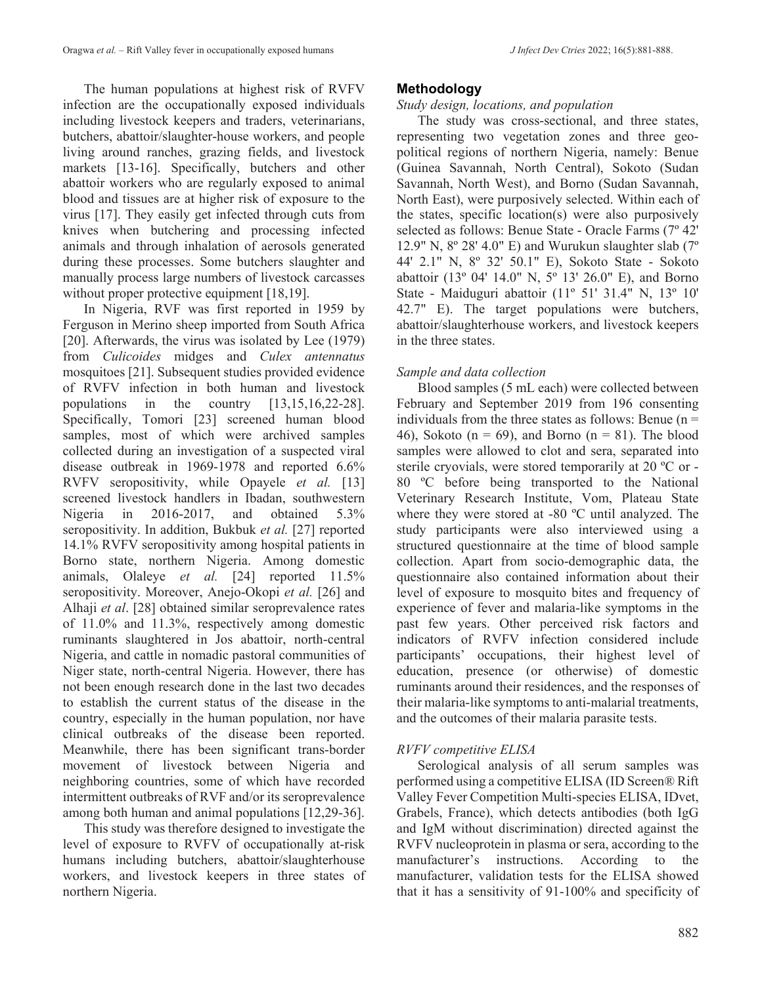The human populations at highest risk of RVFV infection are the occupationally exposed individuals including livestock keepers and traders, veterinarians, butchers, abattoir/slaughter-house workers, and people living around ranches, grazing fields, and livestock markets [13-16]. Specifically, butchers and other abattoir workers who are regularly exposed to animal blood and tissues are at higher risk of exposure to the virus [17]. They easily get infected through cuts from knives when butchering and processing infected animals and through inhalation of aerosols generated during these processes. Some butchers slaughter and manually process large numbers of livestock carcasses without proper protective equipment [18,19].

In Nigeria, RVF was first reported in 1959 by Ferguson in Merino sheep imported from South Africa [20]. Afterwards, the virus was isolated by Lee (1979) from *Culicoides* midges and *Culex antennatus* mosquitoes [21]. Subsequent studies provided evidence of RVFV infection in both human and livestock populations in the country [13,15,16,22-28]. Specifically, Tomori [23] screened human blood samples, most of which were archived samples collected during an investigation of a suspected viral disease outbreak in 1969-1978 and reported 6.6% RVFV seropositivity, while Opayele *et al.* [13] screened livestock handlers in Ibadan, southwestern<br>Nigeria in 2016-2017, and obtained 5.3% Nigeria in 2016-2017, and obtained 5.3% seropositivity. In addition, Bukbuk *et al.* [27] reported 14.1% RVFV seropositivity among hospital patients in Borno state, northern Nigeria. Among domestic animals, Olaleye *et al.* [24] reported 11.5% seropositivity. Moreover, Anejo-Okopi *et al.* [26] and Alhaji *et al*. [28] obtained similar seroprevalence rates of 11.0% and 11.3%, respectively among domestic ruminants slaughtered in Jos abattoir, north-central Nigeria, and cattle in nomadic pastoral communities of Niger state, north-central Nigeria. However, there has not been enough research done in the last two decades to establish the current status of the disease in the country, especially in the human population, nor have clinical outbreaks of the disease been reported. Meanwhile, there has been significant trans-border movement of livestock between Nigeria and neighboring countries, some of which have recorded intermittent outbreaks of RVF and/or its seroprevalence among both human and animal populations [12,29-36].

This study was therefore designed to investigate the level of exposure to RVFV of occupationally at-risk humans including butchers, abattoir/slaughterhouse workers, and livestock keepers in three states of northern Nigeria.

## **Methodology**

## *Study design, locations, and population*

The study was cross-sectional, and three states, representing two vegetation zones and three geopolitical regions of northern Nigeria, namely: Benue (Guinea Savannah, North Central), Sokoto (Sudan Savannah, North West), and Borno (Sudan Savannah, North East), were purposively selected. Within each of the states, specific location(s) were also purposively selected as follows: Benue State - Oracle Farms (7º 42' 12.9" N,  $8^{\circ}$  28' 4.0" E) and Wurukun slaughter slab (7 $^{\circ}$ 44' 2.1" N, 8º 32' 50.1" E), Sokoto State - Sokoto abattoir (13º 04' 14.0" N, 5º 13' 26.0" E), and Borno State - Maiduguri abattoir (11º 51' 31.4" N, 13º 10' 42.7" E). The target populations were butchers, abattoir/slaughterhouse workers, and livestock keepers in the three states.

## *Sample and data collection*

Blood samples (5 mL each) were collected between February and September 2019 from 196 consenting individuals from the three states as follows: Benue  $(n =$ 46), Sokoto ( $n = 69$ ), and Borno ( $n = 81$ ). The blood samples were allowed to clot and sera, separated into sterile cryovials, were stored temporarily at 20 ºC or - 80 ºC before being transported to the National Veterinary Research Institute, Vom, Plateau State where they were stored at -80 ºC until analyzed. The study participants were also interviewed using a structured questionnaire at the time of blood sample collection. Apart from socio-demographic data, the questionnaire also contained information about their level of exposure to mosquito bites and frequency of experience of fever and malaria-like symptoms in the past few years. Other perceived risk factors and indicators of RVFV infection considered include participants' occupations, their highest level of education, presence (or otherwise) of domestic ruminants around their residences, and the responses of their malaria-like symptoms to anti-malarial treatments, and the outcomes of their malaria parasite tests.

# *RVFV competitive ELISA*

Serological analysis of all serum samples was performed using a competitive ELISA (ID Screen® Rift Valley Fever Competition Multi-species ELISA, IDvet, Grabels, France), which detects antibodies (both IgG and IgM without discrimination) directed against the RVFV nucleoprotein in plasma or sera, according to the manufacturer's instructions. According to the manufacturer, validation tests for the ELISA showed that it has a sensitivity of 91-100% and specificity of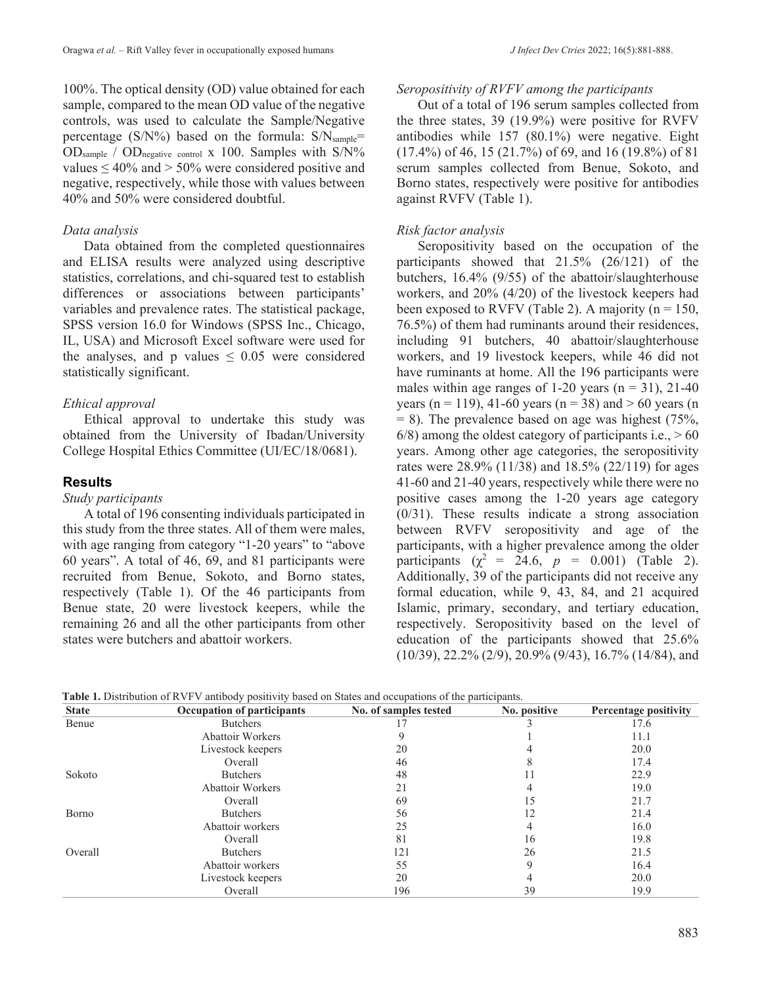100%. The optical density (OD) value obtained for each sample, compared to the mean OD value of the negative controls, was used to calculate the Sample/Negative percentage ( $S/N\%$ ) based on the formula:  $S/N<sub>sample</sub>$ = OD<sub>sample</sub> / OD<sub>negative control</sub> x 100. Samples with S/N% values  $\leq 40\%$  and  $> 50\%$  were considered positive and negative, respectively, while those with values between 40% and 50% were considered doubtful.

#### *Data analysis*

Data obtained from the completed questionnaires and ELISA results were analyzed using descriptive statistics, correlations, and chi-squared test to establish differences or associations between participants' variables and prevalence rates. The statistical package, SPSS version 16.0 for Windows (SPSS Inc., Chicago, IL, USA) and Microsoft Excel software were used for the analyses, and p values  $\leq 0.05$  were considered statistically significant.

#### *Ethical approval*

Ethical approval to undertake this study was obtained from the University of Ibadan/University College Hospital Ethics Committee (UI/EC/18/0681).

## **Results**

## *Study participants*

A total of 196 consenting individuals participated in this study from the three states. All of them were males, with age ranging from category "1-20 years" to "above 60 years". A total of 46, 69, and 81 participants were recruited from Benue, Sokoto, and Borno states, respectively (Table 1). Of the 46 participants from Benue state, 20 were livestock keepers, while the remaining 26 and all the other participants from other states were butchers and abattoir workers.

#### *Seropositivity of RVFV among the participants*

Out of a total of 196 serum samples collected from the three states, 39 (19.9%) were positive for RVFV antibodies while 157 (80.1%) were negative. Eight (17.4%) of 46, 15 (21.7%) of 69, and 16 (19.8%) of 81 serum samples collected from Benue, Sokoto, and Borno states, respectively were positive for antibodies against RVFV (Table 1).

#### *Risk factor analysis*

Seropositivity based on the occupation of the participants showed that 21.5% (26/121) of the butchers, 16.4% (9/55) of the abattoir/slaughterhouse workers, and 20% (4/20) of the livestock keepers had been exposed to RVFV (Table 2). A majority ( $n = 150$ , 76.5%) of them had ruminants around their residences, including 91 butchers, 40 abattoir/slaughterhouse workers, and 19 livestock keepers, while 46 did not have ruminants at home. All the 196 participants were males within age ranges of 1-20 years  $(n = 31)$ , 21-40 years (n = 119), 41-60 years (n = 38) and  $> 60$  years (n  $= 8$ ). The prevalence based on age was highest (75%,  $6/8$ ) among the oldest category of participants i.e.,  $> 60$ years. Among other age categories, the seropositivity rates were 28.9% (11/38) and 18.5% (22/119) for ages 41-60 and 21-40 years, respectively while there were no positive cases among the 1-20 years age category (0/31). These results indicate a strong association between RVFV seropositivity and age of the participants, with a higher prevalence among the older participants ( $\chi^2 = 24.6$ ,  $p = 0.001$ ) (Table 2). Additionally, 39 of the participants did not receive any formal education, while 9, 43, 84, and 21 acquired Islamic, primary, secondary, and tertiary education, respectively. Seropositivity based on the level of education of the participants showed that 25.6% (10/39), 22.2% (2/9), 20.9% (9/43), 16.7% (14/84), and

| <b>State</b> | <b>Occupation of participants</b> | No. of samples tested | No. positive | Percentage positivity |
|--------------|-----------------------------------|-----------------------|--------------|-----------------------|
| Benue        | <b>Butchers</b>                   |                       |              | 17.6                  |
|              | <b>Abattoir Workers</b>           |                       |              | 11.1                  |
|              | Livestock keepers                 | 20                    |              | 20.0                  |
|              | Overall                           | 46                    |              | 17.4                  |
| Sokoto       | <b>Butchers</b>                   | 48                    |              | 22.9                  |
|              | <b>Abattoir Workers</b>           | 21                    |              | 19.0                  |
|              | Overall                           | 69                    | 15           | 21.7                  |
| Borno        | <b>Butchers</b>                   | 56                    | 12           | 21.4                  |
|              | Abattoir workers                  | 25                    |              | 16.0                  |
|              | Overall                           | 81                    | 16           | 19.8                  |
| Overall      | <b>Butchers</b>                   | 121                   | 26           | 21.5                  |
|              | Abattoir workers                  | 55                    |              | 16.4                  |
|              | Livestock keepers                 | 20                    |              | 20.0                  |
|              | Overall                           | 196                   | 39           | 19.9                  |

**Table 1.** Distribution of RVFV antibody positivity based on States and occupations of the participants.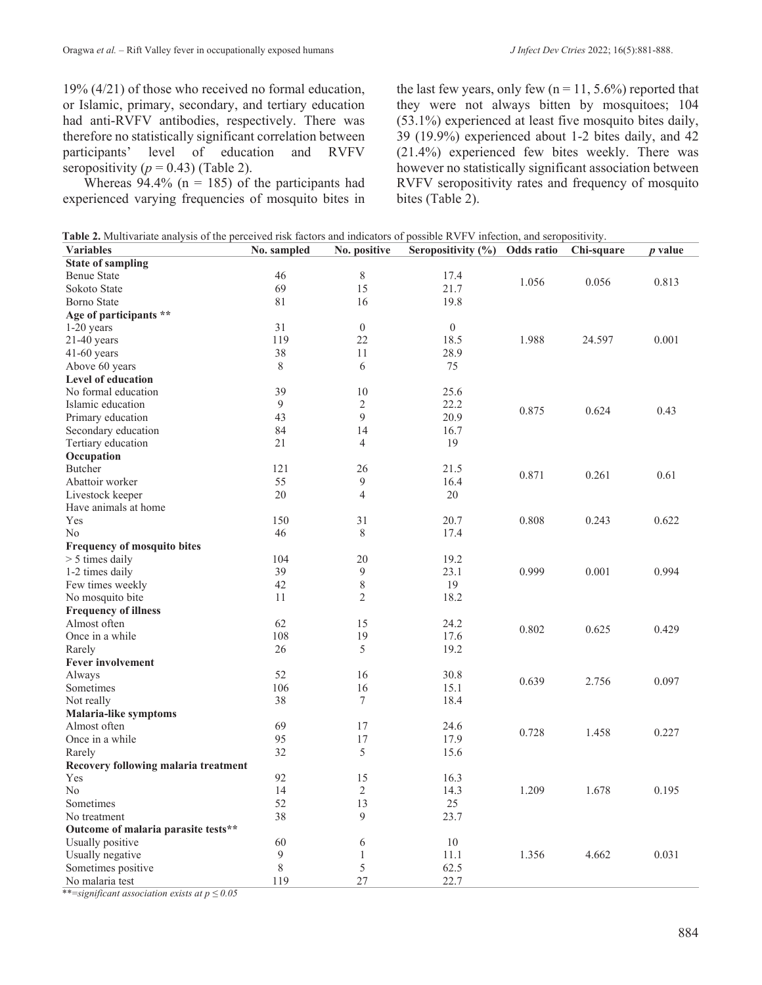19% (4/21) of those who received no formal education, or Islamic, primary, secondary, and tertiary education had anti-RVFV antibodies, respectively. There was therefore no statistically significant correlation between participants' level of education and RVFV seropositivity  $(p = 0.43)$  (Table 2).

Whereas  $94.4\%$  (n = 185) of the participants had experienced varying frequencies of mosquito bites in the last few years, only few ( $n = 11, 5.6\%$ ) reported that they were not always bitten by mosquitoes; 104 (53.1%) experienced at least five mosquito bites daily, 39 (19.9%) experienced about 1-2 bites daily, and 42 (21.4%) experienced few bites weekly. There was however no statistically significant association between RVFV seropositivity rates and frequency of mosquito bites (Table 2).

| <b>Table 2.</b> Multivariate analysis of the perceived risk factors and indicators of possible RVFV infection, and seropositivity. |  |
|------------------------------------------------------------------------------------------------------------------------------------|--|
|                                                                                                                                    |  |
|                                                                                                                                    |  |

| <b>Variables</b>                     | No. sampled | No. positive   | Seropositivity (%) | Odds ratio | Chi-square | $p$ value |
|--------------------------------------|-------------|----------------|--------------------|------------|------------|-----------|
| <b>State of sampling</b>             |             |                |                    |            |            |           |
| <b>Benue State</b>                   | 46          | $8\,$          | 17.4               | 1.056      | 0.056      | 0.813     |
| Sokoto State                         | 69          | 15             | 21.7               |            |            |           |
| <b>Borno State</b>                   | 81          | 16             | 19.8               |            |            |           |
| Age of participants **               |             |                |                    |            |            |           |
| $1-20$ years                         | 31          | $\overline{0}$ | $\overline{0}$     |            |            |           |
| $21-40$ years                        | 119         | 22             | 18.5               | 1.988      | 24.597     | 0.001     |
| $41-60$ years                        | 38          | 11             | 28.9               |            |            |           |
| Above 60 years                       | 8           | 6              | 75                 |            |            |           |
| <b>Level of education</b>            |             |                |                    |            |            |           |
| No formal education                  | 39          | 10             | 25.6               |            |            |           |
| Islamic education                    | 9           | $\overline{2}$ | 22.2               |            |            |           |
| Primary education                    | 43          | 9              | 20.9               | 0.875      | 0.624      | 0.43      |
| Secondary education                  | 84          | 14             | 16.7               |            |            |           |
| Tertiary education                   | 21          | $\overline{4}$ | 19                 |            |            |           |
| Occupation                           |             |                |                    |            |            |           |
| <b>Butcher</b>                       | 121         | 26             | 21.5               |            |            |           |
| Abattoir worker                      | 55          | 9              | 16.4               | 0.871      | 0.261      | 0.61      |
| Livestock keeper                     | 20          | $\overline{4}$ | 20                 |            |            |           |
| Have animals at home                 |             |                |                    |            |            |           |
| Yes                                  | 150         | 31             | 20.7               | 0.808      | 0.243      | 0.622     |
| N <sub>o</sub>                       | 46          | 8              | 17.4               |            |            |           |
| <b>Frequency of mosquito bites</b>   |             |                |                    |            |            |           |
| $> 5$ times daily                    | 104         | 20             | 19.2               |            |            |           |
| 1-2 times daily                      | 39          | 9              | 23.1               | 0.999      | 0.001      | 0.994     |
| Few times weekly                     | 42          | 8              | 19                 |            |            |           |
| No mosquito bite                     | 11          | $\overline{2}$ | 18.2               |            |            |           |
| <b>Frequency of illness</b>          |             |                |                    |            |            |           |
| Almost often                         | 62          | 15             | 24.2               |            |            |           |
| Once in a while                      | 108         | 19             | 17.6               | 0.802      | 0.625      | 0.429     |
| Rarely                               | 26          | 5              | 19.2               |            |            |           |
| <b>Fever involvement</b>             |             |                |                    |            |            |           |
| Always                               | 52          | 16             | 30.8               |            |            |           |
| Sometimes                            | 106         | 16             | 15.1               | 0.639      | 2.756      | 0.097     |
| Not really                           | 38          | $\tau$         | 18.4               |            |            |           |
| Malaria-like symptoms                |             |                |                    |            |            |           |
| Almost often                         | 69          | 17             | 24.6               |            |            |           |
|                                      | 95          | 17             |                    | 0.728      | 1.458      | 0.227     |
| Once in a while                      | 32          | 5              | 17.9               |            |            |           |
| Rarely                               |             |                | 15.6               |            |            |           |
| Recovery following malaria treatment |             |                |                    |            |            |           |
| Yes                                  | 92          | 15             | 16.3               |            |            |           |
| N <sub>o</sub>                       | 14          | 2              | 14.3               | 1.209      | 1.678      | 0.195     |
| Sometimes                            | 52          | 13             | 25                 |            |            |           |
| No treatment                         | 38          | 9              | 23.7               |            |            |           |
| Outcome of malaria parasite tests**  |             |                |                    |            |            |           |
| Usually positive                     | 60          | 6              | 10                 |            |            |           |
| Usually negative                     | 9           | $\mathbf{1}$   | 11.1               | 1.356      | 4.662      | 0.031     |
| Sometimes positive                   | 8           | 5              | 62.5               |            |            |           |
| No malaria test                      | 119         | 27             | 22.7               |            |            |           |

\*\*=*significant association exists at p ≤ 0.05*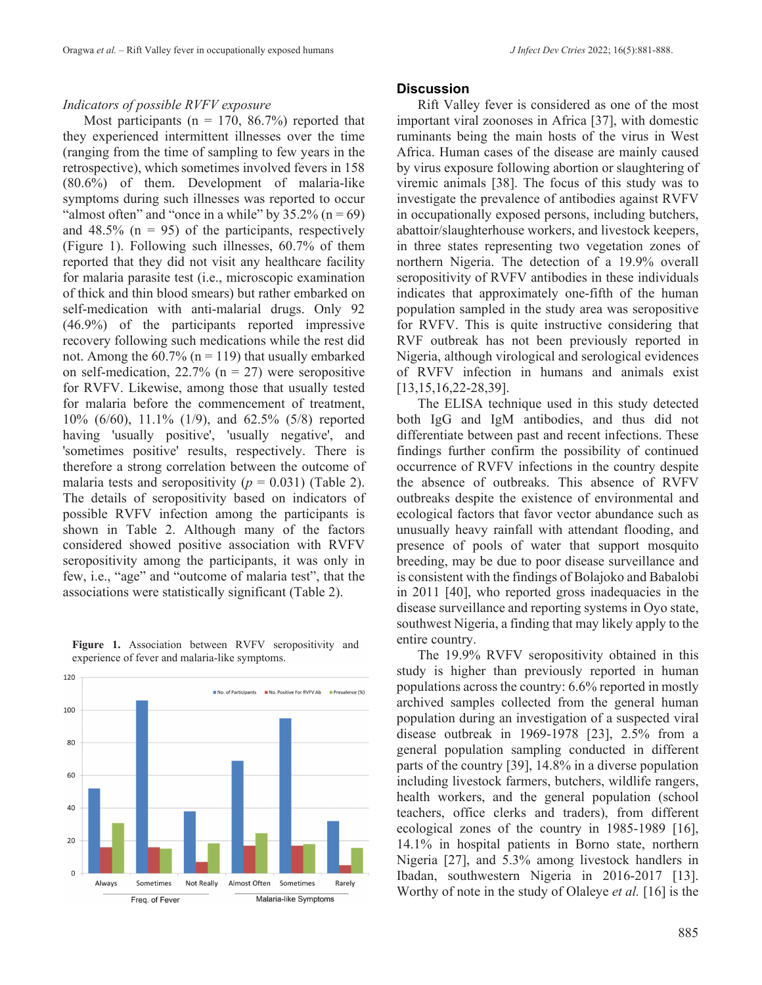#### *Indicators of possible RVFV exposure*

Most participants ( $n = 170, 86.7\%$ ) reported that they experienced intermittent illnesses over the time (ranging from the time of sampling to few years in the retrospective), which sometimes involved fevers in 158 (80.6%) of them. Development of malaria-like symptoms during such illnesses was reported to occur "almost often" and "once in a while" by  $35.2\%$  (n = 69) and 48.5% ( $n = 95$ ) of the participants, respectively (Figure 1). Following such illnesses, 60.7% of them reported that they did not visit any healthcare facility for malaria parasite test (i.e., microscopic examination of thick and thin blood smears) but rather embarked on self-medication with anti-malarial drugs. Only 92 (46.9%) of the participants reported impressive recovery following such medications while the rest did not. Among the  $60.7\%$  (n = 119) that usually embarked on self-medication,  $22.7\%$  (n = 27) were seropositive for RVFV. Likewise, among those that usually tested for malaria before the commencement of treatment, 10% (6/60), 11.1% (1/9), and 62.5% (5/8) reported having 'usually positive', 'usually negative', and 'sometimes positive' results, respectively. There is therefore a strong correlation between the outcome of malaria tests and seropositivity  $(p = 0.031)$  (Table 2). The details of seropositivity based on indicators of possible RVFV infection among the participants is shown in Table 2. Although many of the factors considered showed positive association with RVFV seropositivity among the participants, it was only in few, i.e., "age" and "outcome of malaria test", that the associations were statistically significant (Table 2).



#### Figure 1. Association between RVFV seropositivity and experience of fever and malaria-like symptoms.

#### **Discussion**

Rift Valley fever is considered as one of the most important viral zoonoses in Africa [37], with domestic ruminants being the main hosts of the virus in West Africa. Human cases of the disease are mainly caused by virus exposure following abortion or slaughtering of viremic animals [38]. The focus of this study was to investigate the prevalence of antibodies against RVFV in occupationally exposed persons, including butchers, abattoir/slaughterhouse workers, and livestock keepers, in three states representing two vegetation zones of northern Nigeria. The detection of a 19.9% overall seropositivity of RVFV antibodies in these individuals indicates that approximately one-fifth of the human population sampled in the study area was seropositive for RVFV. This is quite instructive considering that RVF outbreak has not been previously reported in Nigeria, although virological and serological evidences of RVFV infection in humans and animals exist [13,15,16,22-28,39].

The ELISA technique used in this study detected both IgG and IgM antibodies, and thus did not differentiate between past and recent infections. These findings further confirm the possibility of continued occurrence of RVFV infections in the country despite the absence of outbreaks. This absence of RVFV outbreaks despite the existence of environmental and ecological factors that favor vector abundance such as unusually heavy rainfall with attendant flooding, and presence of pools of water that support mosquito breeding, may be due to poor disease surveillance and is consistent with the findings of Bolajoko and Babalobi in 2011 [40], who reported gross inadequacies in the disease surveillance and reporting systems in Oyo state, southwest Nigeria, a finding that may likely apply to the entire country.

The 19.9% RVFV seropositivity obtained in this study is higher than previously reported in human populations across the country: 6.6% reported in mostly archived samples collected from the general human population during an investigation of a suspected viral disease outbreak in 1969-1978 [23], 2.5% from a general population sampling conducted in different parts of the country [39], 14.8% in a diverse population including livestock farmers, butchers, wildlife rangers, health workers, and the general population (school teachers, office clerks and traders), from different ecological zones of the country in 1985-1989 [16], 14.1% in hospital patients in Borno state, northern Nigeria [27], and 5.3% among livestock handlers in Ibadan, southwestern Nigeria in 2016-2017 [13]. Worthy of note in the study of Olaleye *et al.* [16] is the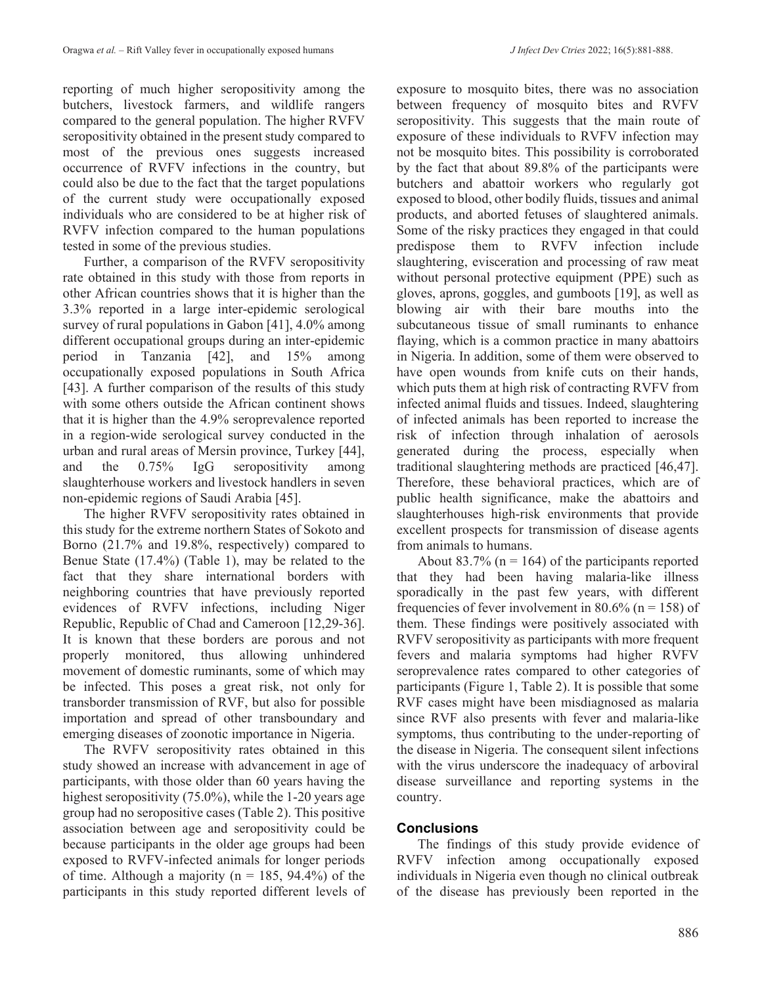reporting of much higher seropositivity among the butchers, livestock farmers, and wildlife rangers compared to the general population. The higher RVFV seropositivity obtained in the present study compared to most of the previous ones suggests increased occurrence of RVFV infections in the country, but could also be due to the fact that the target populations of the current study were occupationally exposed individuals who are considered to be at higher risk of RVFV infection compared to the human populations tested in some of the previous studies.

Further, a comparison of the RVFV seropositivity rate obtained in this study with those from reports in other African countries shows that it is higher than the 3.3% reported in a large inter-epidemic serological survey of rural populations in Gabon [41], 4.0% among different occupational groups during an inter-epidemic period in Tanzania [42], and 15% among occupationally exposed populations in South Africa [43]. A further comparison of the results of this study with some others outside the African continent shows that it is higher than the 4.9% seroprevalence reported in a region-wide serological survey conducted in the urban and rural areas of Mersin province, Turkey [44], and the 0.75% IgG seropositivity among slaughterhouse workers and livestock handlers in seven non-epidemic regions of Saudi Arabia [45].

The higher RVFV seropositivity rates obtained in this study for the extreme northern States of Sokoto and Borno (21.7% and 19.8%, respectively) compared to Benue State (17.4%) (Table 1), may be related to the fact that they share international borders with neighboring countries that have previously reported evidences of RVFV infections, including Niger Republic, Republic of Chad and Cameroon [12,29-36]. It is known that these borders are porous and not properly monitored, thus allowing unhindered movement of domestic ruminants, some of which may be infected. This poses a great risk, not only for transborder transmission of RVF, but also for possible importation and spread of other transboundary and emerging diseases of zoonotic importance in Nigeria.

The RVFV seropositivity rates obtained in this study showed an increase with advancement in age of participants, with those older than 60 years having the highest seropositivity (75.0%), while the 1-20 years age group had no seropositive cases (Table 2). This positive association between age and seropositivity could be because participants in the older age groups had been exposed to RVFV-infected animals for longer periods of time. Although a majority ( $n = 185$ , 94.4%) of the participants in this study reported different levels of exposure to mosquito bites, there was no association between frequency of mosquito bites and RVFV seropositivity. This suggests that the main route of exposure of these individuals to RVFV infection may not be mosquito bites. This possibility is corroborated by the fact that about 89.8% of the participants were butchers and abattoir workers who regularly got exposed to blood, other bodily fluids, tissues and animal products, and aborted fetuses of slaughtered animals. Some of the risky practices they engaged in that could predispose them to RVFV infection include slaughtering, evisceration and processing of raw meat without personal protective equipment (PPE) such as gloves, aprons, goggles, and gumboots [19], as well as blowing air with their bare mouths into the subcutaneous tissue of small ruminants to enhance flaying, which is a common practice in many abattoirs in Nigeria. In addition, some of them were observed to have open wounds from knife cuts on their hands, which puts them at high risk of contracting RVFV from infected animal fluids and tissues. Indeed, slaughtering of infected animals has been reported to increase the risk of infection through inhalation of aerosols generated during the process, especially when traditional slaughtering methods are practiced [46,47]. Therefore, these behavioral practices, which are of public health significance, make the abattoirs and slaughterhouses high-risk environments that provide excellent prospects for transmission of disease agents from animals to humans.

About 83.7% ( $n = 164$ ) of the participants reported that they had been having malaria-like illness sporadically in the past few years, with different frequencies of fever involvement in 80.6% ( $n = 158$ ) of them. These findings were positively associated with RVFV seropositivity as participants with more frequent fevers and malaria symptoms had higher RVFV seroprevalence rates compared to other categories of participants (Figure 1, Table 2). It is possible that some RVF cases might have been misdiagnosed as malaria since RVF also presents with fever and malaria-like symptoms, thus contributing to the under-reporting of the disease in Nigeria. The consequent silent infections with the virus underscore the inadequacy of arboviral disease surveillance and reporting systems in the country.

# **Conclusions**

The findings of this study provide evidence of RVFV infection among occupationally exposed individuals in Nigeria even though no clinical outbreak of the disease has previously been reported in the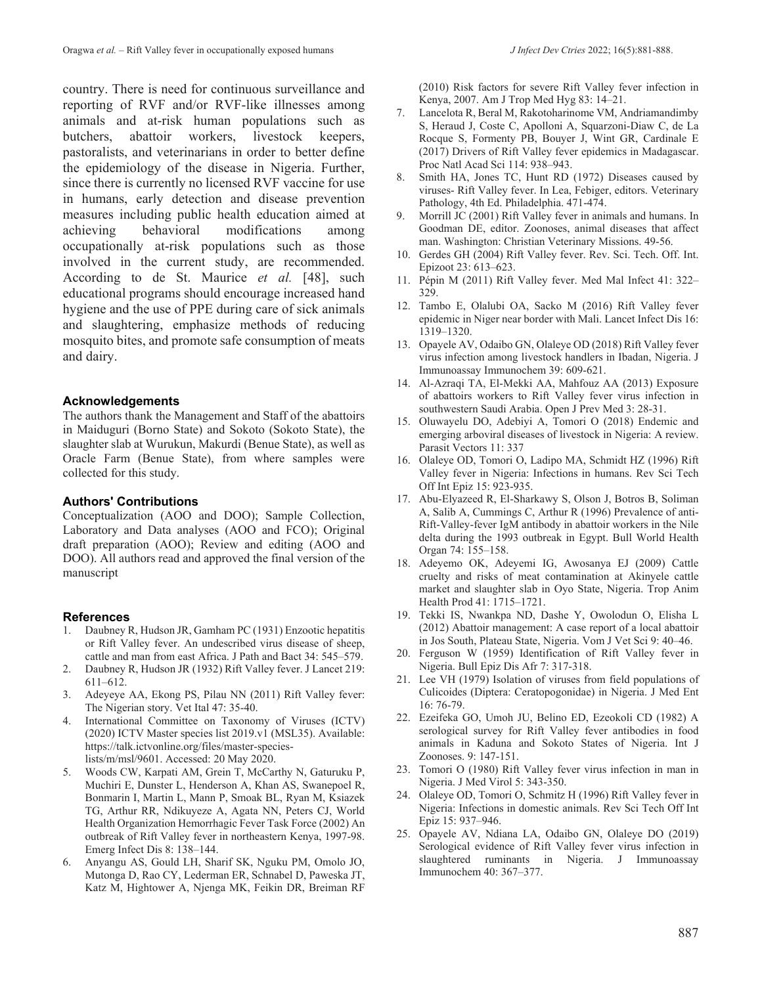country. There is need for continuous surveillance and reporting of RVF and/or RVF-like illnesses among animals and at-risk human populations such as butchers, abattoir workers, livestock keepers, pastoralists, and veterinarians in order to better define the epidemiology of the disease in Nigeria. Further, since there is currently no licensed RVF vaccine for use in humans, early detection and disease prevention measures including public health education aimed at achieving behavioral modifications among occupationally at-risk populations such as those involved in the current study, are recommended. According to de St. Maurice *et al.* [48], such educational programs should encourage increased hand hygiene and the use of PPE during care of sick animals and slaughtering, emphasize methods of reducing mosquito bites, and promote safe consumption of meats and dairy.

#### **Acknowledgements**

The authors thank the Management and Staff of the abattoirs in Maiduguri (Borno State) and Sokoto (Sokoto State), the slaughter slab at Wurukun, Makurdi (Benue State), as well as Oracle Farm (Benue State), from where samples were collected for this study.

#### **Authors' Contributions**

Conceptualization (AOO and DOO); Sample Collection, Laboratory and Data analyses (AOO and FCO); Original draft preparation (AOO); Review and editing (AOO and DOO). All authors read and approved the final version of the manuscript

#### **References**

- 1. Daubney R, Hudson JR, Gamham PC (1931) Enzootic hepatitis or Rift Valley fever. An undescribed virus disease of sheep, cattle and man from east Africa. J Path and Bact 34: 545–579.
- 2. Daubney R, Hudson JR (1932) Rift Valley fever. J Lancet 219: 611–612.
- 3. Adeyeye AA, Ekong PS, Pilau NN (2011) Rift Valley fever: The Nigerian story. Vet Ital 47: 35-40.
- 4. International Committee on Taxonomy of Viruses (ICTV) (2020) ICTV Master species list 2019.v1 (MSL35). Available: https://talk.ictvonline.org/files/master-specieslists/m/msl/9601. Accessed: 20 May 2020.
- 5. Woods CW, Karpati AM, Grein T, McCarthy N, Gaturuku P, Muchiri E, Dunster L, Henderson A, Khan AS, Swanepoel R, Bonmarin I, Martin L, Mann P, Smoak BL, Ryan M, Ksiazek TG, Arthur RR, Ndikuyeze A, Agata NN, Peters CJ, World Health Organization Hemorrhagic Fever Task Force (2002) An outbreak of Rift Valley fever in northeastern Kenya, 1997-98. Emerg Infect Dis 8: 138–144.
- 6. Anyangu AS, Gould LH, Sharif SK, Nguku PM, Omolo JO, Mutonga D, Rao CY, Lederman ER, Schnabel D, Paweska JT, Katz M, Hightower A, Njenga MK, Feikin DR, Breiman RF

(2010) Risk factors for severe Rift Valley fever infection in Kenya, 2007. Am J Trop Med Hyg 83: 14–21.

- 7. Lancelota R, Beral M, Rakotoharinome VM, Andriamandimby S, Heraud J, Coste C, Apolloni A, Squarzoni-Diaw C, de La Rocque S, Formenty PB, Bouyer J, Wint GR, Cardinale E (2017) Drivers of Rift Valley fever epidemics in Madagascar. Proc Natl Acad Sci 114: 938–943.
- 8. Smith HA, Jones TC, Hunt RD (1972) Diseases caused by viruses- Rift Valley fever. In Lea, Febiger, editors. Veterinary Pathology, 4th Ed. Philadelphia. 471-474.
- 9. Morrill JC (2001) Rift Valley fever in animals and humans. In Goodman DE, editor. Zoonoses, animal diseases that affect man. Washington: Christian Veterinary Missions. 49-56.
- 10. Gerdes GH (2004) Rift Valley fever. Rev. Sci. Tech. Off. Int. Epizoot 23: 613–623.
- 11. Pépin M (2011) Rift Valley fever. Med Mal Infect 41: 322– 329.
- 12. Tambo E, Olalubi OA, Sacko M (2016) Rift Valley fever epidemic in Niger near border with Mali. Lancet Infect Dis 16: 1319–1320.
- 13. Opayele AV, Odaibo GN, Olaleye OD (2018) Rift Valley fever virus infection among livestock handlers in Ibadan, Nigeria. J Immunoassay Immunochem 39: 609-621.
- 14. Al-Azraqi TA, El-Mekki AA, Mahfouz AA (2013) Exposure of abattoirs workers to Rift Valley fever virus infection in southwestern Saudi Arabia. Open J Prev Med 3: 28-31.
- 15. Oluwayelu DO, Adebiyi A, Tomori O (2018) Endemic and emerging arboviral diseases of livestock in Nigeria: A review. Parasit Vectors 11: 337
- 16. Olaleye OD, Tomori O, Ladipo MA, Schmidt HZ (1996) Rift Valley fever in Nigeria: Infections in humans. Rev Sci Tech Off Int Epiz 15: 923-935.
- 17. Abu-Elyazeed R, El-Sharkawy S, Olson J, Botros B, Soliman A, Salib A, Cummings C, Arthur R (1996) Prevalence of anti-Rift-Valley-fever IgM antibody in abattoir workers in the Nile delta during the 1993 outbreak in Egypt. Bull World Health Organ 74: 155–158.
- 18. Adeyemo OK, Adeyemi IG, Awosanya EJ (2009) Cattle cruelty and risks of meat contamination at Akinyele cattle market and slaughter slab in Oyo State, Nigeria. Trop Anim Health Prod 41: 1715–1721.
- 19. Tekki IS, Nwankpa ND, Dashe Y, Owolodun O, Elisha L (2012) Abattoir management: A case report of a local abattoir in Jos South, Plateau State, Nigeria. Vom J Vet Sci 9: 40–46.
- 20. Ferguson W (1959) Identification of Rift Valley fever in Nigeria. Bull Epiz Dis Afr 7: 317-318.
- 21. Lee VH (1979) Isolation of viruses from field populations of Culicoides (Diptera: Ceratopogonidae) in Nigeria. J Med Ent 16: 76-79.
- 22. Ezeifeka GO, Umoh JU, Belino ED, Ezeokoli CD (1982) A serological survey for Rift Valley fever antibodies in food animals in Kaduna and Sokoto States of Nigeria. Int J Zoonoses. 9: 147-151.
- 23. Tomori O (1980) Rift Valley fever virus infection in man in Nigeria. J Med Virol 5: 343-350.
- 24. Olaleye OD, Tomori O, Schmitz H (1996) Rift Valley fever in Nigeria: Infections in domestic animals. Rev Sci Tech Off Int Epiz 15: 937–946.
- 25. Opayele AV, Ndiana LA, Odaibo GN, Olaleye DO (2019) Serological evidence of Rift Valley fever virus infection in slaughtered ruminants in Nigeria. J Immunoassay Immunochem 40: 367–377.